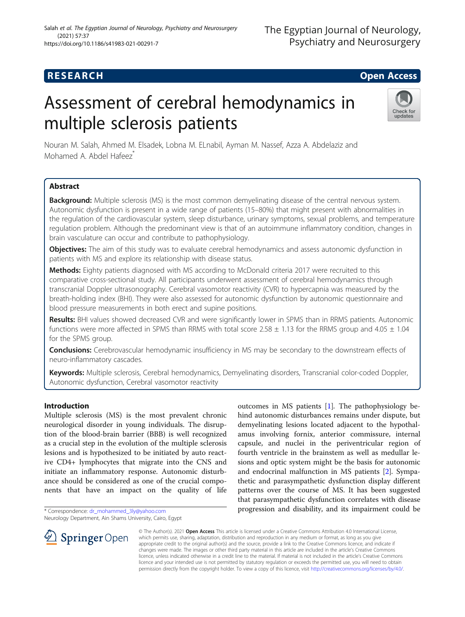# **RESEARCH CHILD CONTROL** CONTROL CONTROL CONTROL CONTROL CONTROL CONTROL CONTROL CONTROL CONTROL CONTROL CONTROL

# Assessment of cerebral hemodynamics in multiple sclerosis patients



Nouran M. Salah, Ahmed M. Elsadek, Lobna M. ELnabil, Ayman M. Nassef, Azza A. Abdelaziz and Mohamed A. Abdel Hafeez<sup>\*</sup>

# Abstract

Background: Multiple sclerosis (MS) is the most common demyelinating disease of the central nervous system. Autonomic dysfunction is present in a wide range of patients (15–80%) that might present with abnormalities in the regulation of the cardiovascular system, sleep disturbance, urinary symptoms, sexual problems, and temperature regulation problem. Although the predominant view is that of an autoimmune inflammatory condition, changes in brain vasculature can occur and contribute to pathophysiology.

**Objectives:** The aim of this study was to evaluate cerebral hemodynamics and assess autonomic dysfunction in patients with MS and explore its relationship with disease status.

Methods: Eighty patients diagnosed with MS according to McDonald criteria 2017 were recruited to this comparative cross-sectional study. All participants underwent assessment of cerebral hemodynamics through transcranial Doppler ultrasonography. Cerebral vasomotor reactivity (CVR) to hypercapnia was measured by the breath-holding index (BHI). They were also assessed for autonomic dysfunction by autonomic questionnaire and blood pressure measurements in both erect and supine positions.

Results: BHI values showed decreased CVR and were significantly lower in SPMS than in RRMS patients. Autonomic functions were more affected in SPMS than RRMS with total score 2.58  $\pm$  1.13 for the RRMS group and 4.05  $\pm$  1.04 for the SPMS group.

Conclusions: Cerebrovascular hemodynamic insufficiency in MS may be secondary to the downstream effects of neuro-inflammatory cascades.

Keywords: Multiple sclerosis, Cerebral hemodynamics, Demyelinating disorders, Transcranial color-coded Doppler, Autonomic dysfunction, Cerebral vasomotor reactivity

### Introduction

Multiple sclerosis (MS) is the most prevalent chronic neurological disorder in young individuals. The disruption of the blood-brain barrier (BBB) is well recognized as a crucial step in the evolution of the multiple sclerosis lesions and is hypothesized to be initiated by auto reactive CD4+ lymphocytes that migrate into the CNS and initiate an inflammatory response. Autonomic disturbance should be considered as one of the crucial components that have an impact on the quality of life

\* Correspondence: [dr\\_mohammed\\_3ly@yahoo.com](mailto:dr_mohammed_3ly@yahoo.com) Neurology Department, Ain Shams University, Cairo, Egypt outcomes in MS patients [\[1](#page-7-0)]. The pathophysiology behind autonomic disturbances remains under dispute, but demyelinating lesions located adjacent to the hypothalamus involving fornix, anterior commissure, internal capsule, and nuclei in the periventricular region of fourth ventricle in the brainstem as well as medullar lesions and optic system might be the basis for autonomic and endocrinal malfunction in MS patients [[2\]](#page-7-0). Sympathetic and parasympathetic dysfunction display different patterns over the course of MS. It has been suggested that parasympathetic dysfunction correlates with disease progression and disability, and its impairment could be



© The Author(s). 2021 Open Access This article is licensed under a Creative Commons Attribution 4.0 International License, which permits use, sharing, adaptation, distribution and reproduction in any medium or format, as long as you give appropriate credit to the original author(s) and the source, provide a link to the Creative Commons licence, and indicate if changes were made. The images or other third party material in this article are included in the article's Creative Commons licence, unless indicated otherwise in a credit line to the material. If material is not included in the article's Creative Commons licence and your intended use is not permitted by statutory regulation or exceeds the permitted use, you will need to obtain permission directly from the copyright holder. To view a copy of this licence, visit <http://creativecommons.org/licenses/by/4.0/>.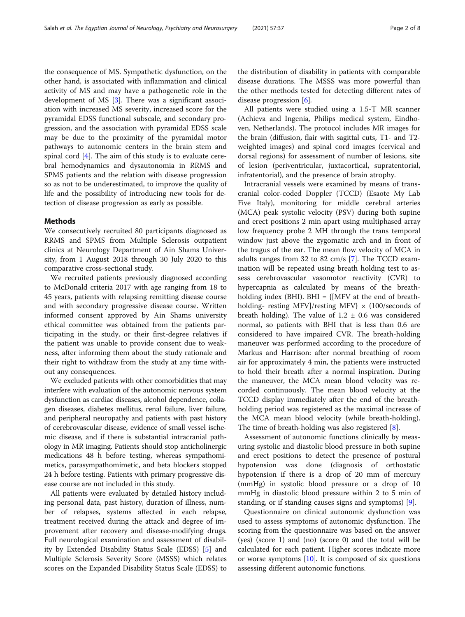the consequence of MS. Sympathetic dysfunction, on the other hand, is associated with inflammation and clinical activity of MS and may have a pathogenetic role in the development of MS [[3\]](#page-7-0). There was a significant association with increased MS severity, increased score for the pyramidal EDSS functional subscale, and secondary progression, and the association with pyramidal EDSS scale may be due to the proximity of the pyramidal motor pathways to autonomic centers in the brain stem and spinal cord [\[4](#page-7-0)]. The aim of this study is to evaluate cerebral hemodynamics and dysautonomia in RRMS and SPMS patients and the relation with disease progression so as not to be underestimated, to improve the quality of life and the possibility of introducing new tools for detection of disease progression as early as possible.

#### Methods

We consecutively recruited 80 participants diagnosed as RRMS and SPMS from Multiple Sclerosis outpatient clinics at Neurology Department of Ain Shams University, from 1 August 2018 through 30 July 2020 to this comparative cross-sectional study.

We recruited patients previously diagnosed according to McDonald criteria 2017 with age ranging from 18 to 45 years, patients with relapsing remitting disease course and with secondary progressive disease course. Written informed consent approved by Ain Shams university ethical committee was obtained from the patients participating in the study, or their first-degree relatives if the patient was unable to provide consent due to weakness, after informing them about the study rationale and their right to withdraw from the study at any time without any consequences.

We excluded patients with other comorbidities that may interfere with evaluation of the autonomic nervous system dysfunction as cardiac diseases, alcohol dependence, collagen diseases, diabetes mellitus, renal failure, liver failure, and peripheral neuropathy and patients with past history of cerebrovascular disease, evidence of small vessel ischemic disease, and if there is substantial intracranial pathology in MR imaging. Patients should stop anticholinergic medications 48 h before testing, whereas sympathomimetics, parasympathomimetic, and beta blockers stopped 24 h before testing. Patients with primary progressive disease course are not included in this study.

All patients were evaluated by detailed history including personal data, past history, duration of illness, number of relapses, systems affected in each relapse, treatment received during the attack and degree of improvement after recovery and disease-modifying drugs. Full neurological examination and assessment of disability by Extended Disability Status Scale (EDSS) [[5\]](#page-7-0) and Multiple Sclerosis Severity Score (MSSS) which relates scores on the Expanded Disability Status Scale (EDSS) to the distribution of disability in patients with comparable disease durations. The MSSS was more powerful than the other methods tested for detecting different rates of disease progression  $[6]$  $[6]$ .

All patients were studied using a 1.5-T MR scanner (Achieva and Ingenia, Philips medical system, Eindhoven, Netherlands). The protocol includes MR images for the brain (diffusion, flair with sagittal cuts, T1- and T2 weighted images) and spinal cord images (cervical and dorsal regions) for assessment of number of lesions, site of lesion (periventricular, juxtacortical, supratentorial, infratentorial), and the presence of brain atrophy.

Intracranial vessels were examined by means of transcranial color-coded Doppler (TCCD) (Esaote My Lab Five Italy), monitoring for middle cerebral arteries (MCA) peak systolic velocity (PSV) during both supine and erect positions 2 min apart using multiphased array low frequency probe 2 MH through the trans temporal window just above the zygomatic arch and in front of the tragus of the ear. The mean flow velocity of MCA in adults ranges from 32 to 82 cm/s [[7\]](#page-7-0). The TCCD examination will be repeated using breath holding test to assess cerebrovascular vasomotor reactivity (CVR) to hypercapnia as calculated by means of the breathholding index (BHI). BHI =  ${MFV}$  at the end of breathholding- resting MFV]/resting MFV}  $\times$  (100/seconds of breath holding). The value of  $1.2 \pm 0.6$  was considered normal, so patients with BHI that is less than 0.6 are considered to have impaired CVR. The breath-holding maneuver was performed according to the procedure of Markus and Harrison: after normal breathing of room air for approximately 4 min, the patients were instructed to hold their breath after a normal inspiration. During the maneuver, the MCA mean blood velocity was recorded continuously. The mean blood velocity at the TCCD display immediately after the end of the breathholding period was registered as the maximal increase of the MCA mean blood velocity (while breath-holding). The time of breath-holding was also registered [\[8](#page-7-0)].

Assessment of autonomic functions clinically by measuring systolic and diastolic blood pressure in both supine and erect positions to detect the presence of postural hypotension was done (diagnosis of orthostatic hypotension if there is a drop of 20 mm of mercury (mmHg) in systolic blood pressure or a drop of 10 mmHg in diastolic blood pressure within 2 to 5 min of standing, or if standing causes signs and symptoms) [\[9](#page-7-0)].

Questionnaire on clinical autonomic dysfunction was used to assess symptoms of autonomic dysfunction. The scoring from the questionnaire was based on the answer (yes) (score 1) and (no) (score 0) and the total will be calculated for each patient. Higher scores indicate more or worse symptoms [\[10\]](#page-7-0). It is composed of six questions assessing different autonomic functions.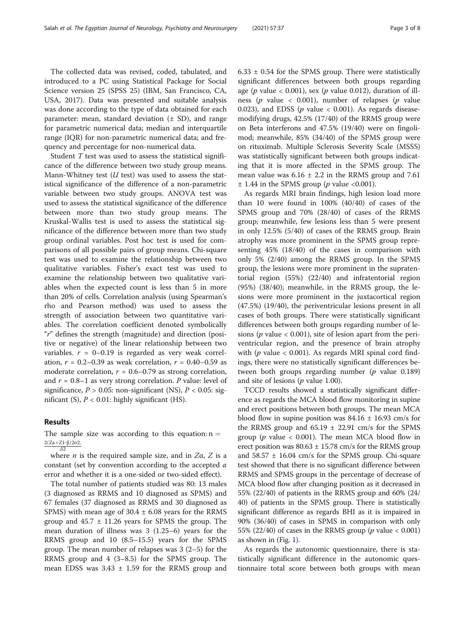The collected data was revised, coded, tabulated, and introduced to a PC using Statistical Package for Social Science version 25 (SPSS 25) (IBM, San Francisco, CA, USA, 2017). Data was presented and suitable analysis was done according to the type of data obtained for each parameter: mean, standard deviation  $(± SD)$ , and range for parametric numerical data; median and interquartile range (IQR) for non-parametric numerical data; and frequency and percentage for non-numerical data.

Student T test was used to assess the statistical significance of the difference between two study group means. Mann-Whitney test  $(U$  test) was used to assess the statistical significance of the difference of a non-parametric variable between two study groups. ANOVA test was used to assess the statistical significance of the difference between more than two study group means. The Kruskal-Wallis test is used to assess the statistical significance of the difference between more than two study group ordinal variables. Post hoc test is used for comparisons of all possible pairs of group means. Chi-square test was used to examine the relationship between two qualitative variables. Fisher's exact test was used to examine the relationship between two qualitative variables when the expected count is less than 5 in more than 20% of cells. Correlation analysis (using Spearman's rho and Pearson method) was used to assess the strength of association between two quantitative variables. The correlation coefficient denoted symbolically "r" defines the strength (magnitude) and direction (positive or negative) of the linear relationship between two variables.  $r = 0-0.19$  is regarded as very weak correlation,  $r = 0.2 - 0.39$  as weak correlation,  $r = 0.40 - 0.59$  as moderate correlation,  $r = 0.6 - 0.79$  as strong correlation, and  $r = 0.8-1$  as very strong correlation. P value: level of significance,  $P > 0.05$ : non-significant (NS),  $P < 0.05$ : significant (S),  $P < 0.01$ : highly significant (HS).

#### Results

The sample size was according to this equation:  $n =$  $2(Za+Z1-β)2σ2,$ Δ2

where *n* is the required sample size, and in  $Z\alpha$ , Z is a constant (set by convention according to the accepted  $\alpha$ error and whether it is a one-sided or two-sided effect).

The total number of patients studied was 80: 13 males (3 diagnosed as RRMS and 10 diagnosed as SPMS) and 67 females (37 diagnosed as RRMS and 30 diagnosed as SPMS) with mean age of  $30.4 \pm 6.08$  years for the RRMS group and  $45.7 \pm 11.26$  years for SPMS the group. The mean duration of illness was 3 (1.25–6) years for the RRMS group and 10 (8.5–15.5) years for the SPMS group. The mean number of relapses was 3 (2–5) for the RRMS group and 4 (3–8.5) for the SPMS group. The mean EDSS was  $3.43 \pm 1.59$  for the RRMS group and  $6.33 \pm 0.54$  for the SPMS group. There were statistically significant differences between both groups regarding age (p value < 0.001), sex (p value 0.012), duration of illness (p value  $\langle 0.001 \rangle$ , number of relapses (p value 0.023), and EDSS ( $p$  value < 0.001). As regards diseasemodifying drugs, 42.5% (17/40) of the RRMS group were on Beta interferons and 47.5% (19/40) were on fingolimod; meanwhile, 85% (34/40) of the SPMS group were on rituximab. Multiple Sclerosis Severity Scale (MSSS) was statistically significant between both groups indicating that it is more affected in the SPMS group. The mean value was  $6.16 \pm 2.2$  in the RRMS group and 7.61  $\pm$  1.44 in the SPMS group (*p* value <0.001).

As regards MRI brain findings, high lesion load more than 10 were found in 100% (40/40) of cases of the SPMS group and 70% (28/40) of cases of the RRMS group; meanwhile, few lesions less than 5 were present in only 12.5% (5/40) of cases of the RRMS group. Brain atrophy was more prominent in the SPMS group representing 45% (18/40) of the cases in comparison with only 5% (2/40) among the RRMS group. In the SPMS group, the lesions were more prominent in the supratentorial region (55%) (22/40) and infratentorial region (95%) (38/40); meanwhile, in the RRMS group, the lesions were more prominent in the juxtacortical region (47.5%) (19/40), the periventricular lesions present in all cases of both groups. There were statistically significant differences between both groups regarding number of lesions ( $p$  value  $<$  0.001), site of lesion apart from the periventricular region, and the presence of brain atrophy with ( $p$  value < 0.001). As regards MRI spinal cord findings, there were no statistically significant differences between both groups regarding number ( $p$  value 0.189) and site of lesions ( $p$  value 1.00).

TCCD results showed a statistically significant difference as regards the MCA blood flow monitoring in supine and erect positions between both groups. The mean MCA blood flow in supine position was  $84.16 \pm 16.93$  cm/s for the RRMS group and  $65.19 \pm 22.91$  cm/s for the SPMS group ( $p$  value < 0.001). The mean MCA blood flow in erect position was  $80.63 \pm 15.78$  cm/s for the RRMS group and 58.57 ± 16.04 cm/s for the SPMS group. Chi-square test showed that there is no significant difference between RRMS and SPMS groups in the percentage of decrease of MCA blood flow after changing position as it decreased in 55% (22/40) of patients in the RRMS group and 60% (24/ 40) of patients in the SPMS group. There is statistically significant difference as regards BHI as it is impaired in 90% (36/40) of cases in SPMS in comparison with only 55% (22/40) of cases in the RRMS group ( $p$  value < 0.001) as shown in  $(Fig. 1)$  $(Fig. 1)$  $(Fig. 1)$ .

As regards the autonomic questionnaire, there is statistically significant difference in the autonomic questionnaire total score between both groups with mean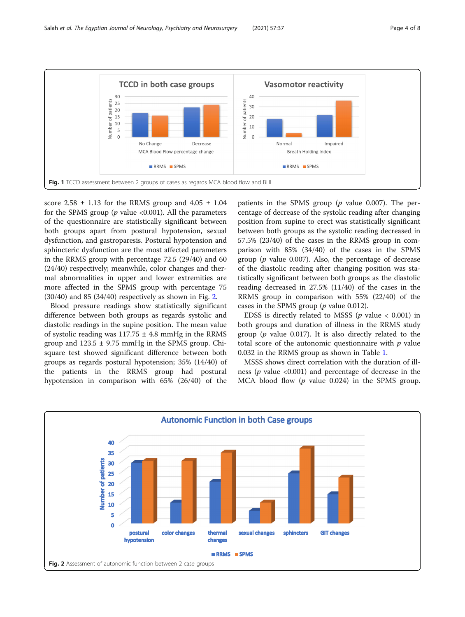<span id="page-3-0"></span>

score  $2.58 \pm 1.13$  for the RRMS group and  $4.05 \pm 1.04$ for the SPMS group ( $p$  value <0.001). All the parameters of the questionnaire are statistically significant between both groups apart from postural hypotension, sexual dysfunction, and gastroparesis. Postural hypotension and sphincteric dysfunction are the most affected parameters in the RRMS group with percentage 72.5 (29/40) and 60 (24/40) respectively; meanwhile, color changes and thermal abnormalities in upper and lower extremities are more affected in the SPMS group with percentage 75  $(30/40)$  and 85  $(34/40)$  respectively as shown in Fig. 2.

Blood pressure readings show statistically significant difference between both groups as regards systolic and diastolic readings in the supine position. The mean value of systolic reading was  $117.75 \pm 4.8$  mmHg in the RRMS group and  $123.5 \pm 9.75$  mmHg in the SPMS group. Chisquare test showed significant difference between both groups as regards postural hypotension; 35% (14/40) of the patients in the RRMS group had postural hypotension in comparison with 65% (26/40) of the patients in the SPMS group  $(p \text{ value } 0.007)$ . The percentage of decrease of the systolic reading after changing position from supine to erect was statistically significant between both groups as the systolic reading decreased in 57.5% (23/40) of the cases in the RRMS group in comparison with 85% (34/40) of the cases in the SPMS group ( $p$  value 0.007). Also, the percentage of decrease of the diastolic reading after changing position was statistically significant between both groups as the diastolic reading decreased in 27.5% (11/40) of the cases in the RRMS group in comparison with 55% (22/40) of the cases in the SPMS group ( $p$  value 0.012).

EDSS is directly related to MSSS ( $p$  value < 0.001) in both groups and duration of illness in the RRMS study group ( $p$  value 0.017). It is also directly related to the total score of the autonomic questionnaire with  $p$  value 0.032 in the RRMS group as shown in Table [1.](#page-4-0)

MSSS shows direct correlation with the duration of illness ( $p$  value <0.001) and percentage of decrease in the MCA blood flow  $(p \text{ value } 0.024)$  in the SPMS group.

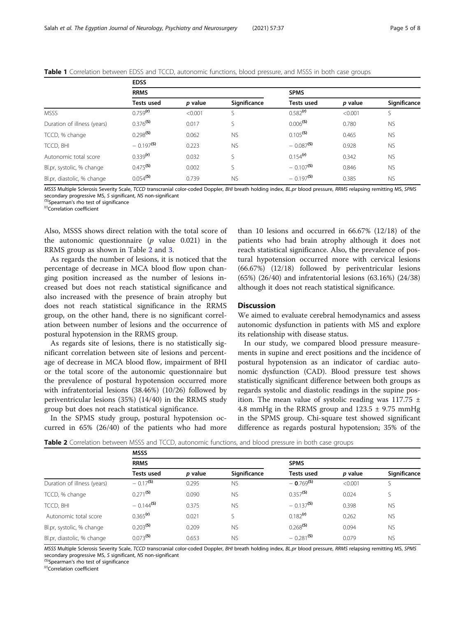<span id="page-4-0"></span>

| <b>Table 1</b> Correlation between EDSS and TCCD, autonomic functions, blood pressure, and MSSS in both case groups |  |
|---------------------------------------------------------------------------------------------------------------------|--|
|---------------------------------------------------------------------------------------------------------------------|--|

|                             | <b>EDSS</b>             |         |              |                         |         |              |
|-----------------------------|-------------------------|---------|--------------|-------------------------|---------|--------------|
|                             | <b>RRMS</b>             |         |              | <b>SPMS</b>             |         |              |
|                             | Tests used              | p value | Significance | <b>Tests used</b>       | p value | Significance |
| <b>MSSS</b>                 | 0.759 <sup>(r)</sup>    | < 0.001 |              | $0.582$ <sup>(r)</sup>  | < 0.001 | S            |
| Duration of illness (years) | $0.376$ <sup>(S)</sup>  | 0.017   | S            | $0.006$ <sup>(S)</sup>  | 0.780   | <b>NS</b>    |
| TCCD, % change              | $0.298$ <sup>(S)</sup>  | 0.062   | <b>NS</b>    | $0.105$ <sup>(S)</sup>  | 0.465   | <b>NS</b>    |
| TCCD, BHI                   | $-0.197$ <sup>(S)</sup> | 0.223   | <b>NS</b>    | $-0.087$ <sup>(S)</sup> | 0.928   | <b>NS</b>    |
| Autonomic total score       | 0.339 <sup>(r)</sup>    | 0.032   | S            | $0.154$ <sup>(r)</sup>  | 0.342   | <b>NS</b>    |
| Bl.pr, systolic, % change   | $0.475^{(S)}$           | 0.002   | S            | $-0.107$ <sup>(S)</sup> | 0.846   | <b>NS</b>    |
| Bl.pr, diastolic, % change  | $0.054$ <sup>(S)</sup>  | 0.739   | <b>NS</b>    | $-0.197$ <sup>(S)</sup> | 0.385   | <b>NS</b>    |

MSSS Multiple Sclerosis Severity Scale, TCCD transcranial color-coded Doppler, BHI breath holding index, BL.pr blood pressure, RRMS relapsing remitting MS, SPMS secondary progressive MS, S significant, NS non-significant (S)Spearman's rho test of significance (r)Correlation coefficient

Also, MSSS shows direct relation with the total score of the autonomic questionnaire  $(p \text{ value } 0.021)$  in the RRMS group as shown in Table 2 and [3.](#page-6-0)

As regards the number of lesions, it is noticed that the percentage of decrease in MCA blood flow upon changing position increased as the number of lesions increased but does not reach statistical significance and also increased with the presence of brain atrophy but does not reach statistical significance in the RRMS group, on the other hand, there is no significant correlation between number of lesions and the occurrence of postural hypotension in the RRMS group.

As regards site of lesions, there is no statistically significant correlation between site of lesions and percentage of decrease in MCA blood flow, impairment of BHI or the total score of the autonomic questionnaire but the prevalence of postural hypotension occurred more with infratentorial lesions (38.46%) (10/26) followed by periventricular lesions (35%) (14/40) in the RRMS study group but does not reach statistical significance.

In the SPMS study group, postural hypotension occurred in 65% (26/40) of the patients who had more than 10 lesions and occurred in 66.67% (12/18) of the patients who had brain atrophy although it does not reach statistical significance. Also, the prevalence of postural hypotension occurred more with cervical lesions (66.67%) (12/18) followed by periventricular lesions (65%) (26/40) and infratentorial lesions (63.16%) (24/38) although it does not reach statistical significance.

#### **Discussion**

We aimed to evaluate cerebral hemodynamics and assess autonomic dysfunction in patients with MS and explore its relationship with disease status.

In our study, we compared blood pressure measurements in supine and erect positions and the incidence of postural hypotension as an indicator of cardiac autonomic dysfunction (CAD). Blood pressure test shows statistically significant difference between both groups as regards systolic and diastolic readings in the supine position. The mean value of systolic reading was  $117.75 \pm$ 4.8 mmHg in the RRMS group and  $123.5 \pm 9.75$  mmHg in the SPMS group. Chi-square test showed significant difference as regards postural hypotension; 35% of the

Table 2 Correlation between MSSS and TCCD, autonomic functions, and blood pressure in both case groups

|                             | <b>MSSS</b>             |         |              |                          |         |              |
|-----------------------------|-------------------------|---------|--------------|--------------------------|---------|--------------|
|                             | <b>RRMS</b>             |         |              | <b>SPMS</b>              |         |              |
|                             | <b>Tests used</b>       | p value | Significance | <b>Tests used</b>        | p value | Significance |
| Duration of illness (years) | $-0.17^{(5)}$           | 0.295   | <b>NS</b>    | $-$ 0.769 <sup>(S)</sup> | < 0.001 |              |
| TCCD, % change              | $0.271$ <sup>(S)</sup>  | 0.090   | <b>NS</b>    | $0.357$ <sup>(S)</sup>   | 0.024   |              |
| TCCD, BHI                   | $-0.144$ <sup>(S)</sup> | 0.375   | <b>NS</b>    | $-0.137$ <sup>(S)</sup>  | 0.398   | <b>NS</b>    |
| Autonomic total score       | $0.365$ <sup>(r)</sup>  | 0.021   |              | $0.182$ <sup>(r)</sup>   | 0.262   | <b>NS</b>    |
| Bl.pr, systolic, % change   | $0.203$ <sup>(S)</sup>  | 0.209   | <b>NS</b>    | $0.268$ <sup>(S)</sup>   | 0.094   | <b>NS</b>    |
| Bl.pr, diastolic, % change  | $0.073$ <sup>(S)</sup>  | 0.653   | <b>NS</b>    | $-0.281^{(5)}$           | 0.079   | <b>NS</b>    |
|                             |                         |         |              |                          |         |              |

MSSS Multiple Sclerosis Severity Scale, TCCD transcranial color-coded Doppler, BHI breath holding index, BL.pr blood pressure, RRMS relapsing remitting MS, SPMS secondary progressive MS, S significant, NS non-significant (S)Spearman's rho test of significance (r)Correlation coefficient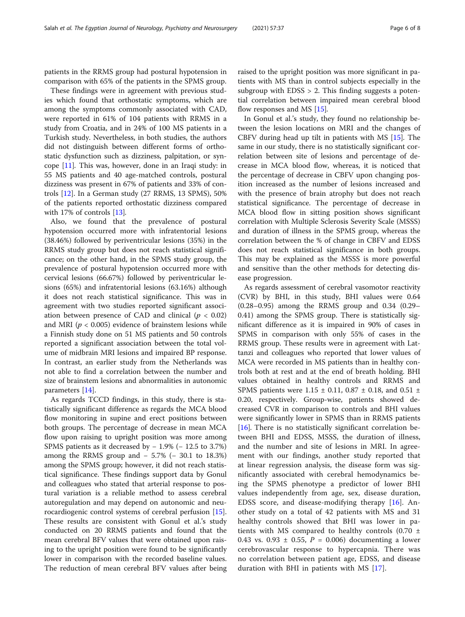patients in the RRMS group had postural hypotension in comparison with 65% of the patients in the SPMS group.

These findings were in agreement with previous studies which found that orthostatic symptoms, which are among the symptoms commonly associated with CAD, were reported in 61% of 104 patients with RRMS in a study from Croatia, and in 24% of 100 MS patients in a Turkish study. Nevertheless, in both studies, the authors did not distinguish between different forms of orthostatic dysfunction such as dizziness, palpitation, or syncope [[11](#page-7-0)]. This was, however, done in an Iraqi study: in 55 MS patients and 40 age-matched controls, postural dizziness was present in 67% of patients and 33% of controls [\[12](#page-7-0)]. In a German study (27 RRMS, 13 SPMS), 50% of the patients reported orthostatic dizziness compared with 17% of controls [\[13](#page-7-0)].

Also, we found that the prevalence of postural hypotension occurred more with infratentorial lesions (38.46%) followed by periventricular lesions (35%) in the RRMS study group but does not reach statistical significance; on the other hand, in the SPMS study group, the prevalence of postural hypotension occurred more with cervical lesions (66.67%) followed by periventricular lesions (65%) and infratentorial lesions (63.16%) although it does not reach statistical significance. This was in agreement with two studies reported significant association between presence of CAD and clinical ( $p < 0.02$ ) and MRI ( $p < 0.005$ ) evidence of brainstem lesions while a Finnish study done on 51 MS patients and 50 controls reported a significant association between the total volume of midbrain MRI lesions and impaired BP response. In contrast, an earlier study from the Netherlands was not able to find a correlation between the number and size of brainstem lesions and abnormalities in autonomic parameters [\[14\]](#page-7-0).

As regards TCCD findings, in this study, there is statistically significant difference as regards the MCA blood flow monitoring in supine and erect positions between both groups. The percentage of decrease in mean MCA flow upon raising to upright position was more among SPMS patients as it decreased by − 1.9% (− 12.5 to 3.7%) among the RRMS group and − 5.7% (− 30.1 to 18.3%) among the SPMS group; however, it did not reach statistical significance. These findings support data by Gonul and colleagues who stated that arterial response to postural variation is a reliable method to assess cerebral autoregulation and may depend on autonomic and neurocardiogenic control systems of cerebral perfusion [\[15](#page-7-0)]. These results are consistent with Gonul et al.'s study conducted on 20 RRMS patients and found that the mean cerebral BFV values that were obtained upon raising to the upright position were found to be significantly lower in comparison with the recorded baseline values. The reduction of mean cerebral BFV values after being raised to the upright position was more significant in patients with MS than in control subjects especially in the subgroup with  $EDSS > 2$ . This finding suggests a potential correlation between impaired mean cerebral blood flow responses and MS [[15\]](#page-7-0).

In Gonul et al.'s study, they found no relationship between the lesion locations on MRI and the changes of CBFV during head up tilt in patients with MS [[15\]](#page-7-0). The same in our study, there is no statistically significant correlation between site of lesions and percentage of decrease in MCA blood flow, whereas, it is noticed that the percentage of decrease in CBFV upon changing position increased as the number of lesions increased and with the presence of brain atrophy but does not reach statistical significance. The percentage of decrease in MCA blood flow in sitting position shows significant correlation with Multiple Sclerosis Severity Scale (MSSS) and duration of illness in the SPMS group, whereas the correlation between the % of change in CBFV and EDSS does not reach statistical significance in both groups. This may be explained as the MSSS is more powerful and sensitive than the other methods for detecting disease progression.

As regards assessment of cerebral vasomotor reactivity (CVR) by BHI, in this study, BHI values were 0.64 (0.28–0.95) among the RRMS group and 0.34 (0.29– 0.41) among the SPMS group. There is statistically significant difference as it is impaired in 90% of cases in SPMS in comparison with only 55% of cases in the RRMS group. These results were in agreement with Lattanzi and colleagues who reported that lower values of MCA were recorded in MS patients than in healthy controls both at rest and at the end of breath holding. BHI values obtained in healthy controls and RRMS and SPMS patients were  $1.15 \pm 0.11$ , 0.87  $\pm$  0.18, and 0.51  $\pm$ 0.20, respectively. Group-wise, patients showed decreased CVR in comparison to controls and BHI values were significantly lower in SPMS than in RRMS patients [[16\]](#page-7-0). There is no statistically significant correlation between BHI and EDSS, MSSS, the duration of illness, and the number and site of lesions in MRI. In agreement with our findings, another study reported that at linear regression analysis, the disease form was significantly associated with cerebral hemodynamics being the SPMS phenotype a predictor of lower BHI values independently from age, sex, disease duration, EDSS score, and disease-modifying therapy [[16\]](#page-7-0). Another study on a total of 42 patients with MS and 31 healthy controls showed that BHI was lower in patients with MS compared to healthy controls (0.70  $\pm$ 0.43 vs. 0.93  $\pm$  0.55, P = 0.006) documenting a lower cerebrovascular response to hypercapnia. There was no correlation between patient age, EDSS, and disease duration with BHI in patients with MS [[17\]](#page-7-0).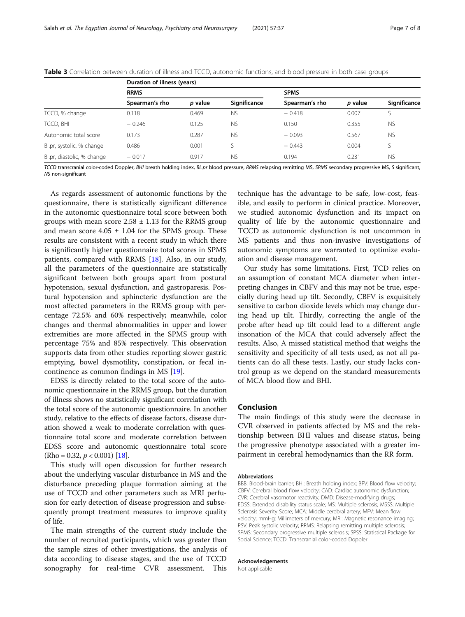|                            | Duration of illness (years) |                |              |                |         |              |
|----------------------------|-----------------------------|----------------|--------------|----------------|---------|--------------|
|                            | <b>RRMS</b>                 |                |              | <b>SPMS</b>    |         |              |
|                            | Spearman's rho              | <i>p</i> value | Significance | Spearman's rho | p value | Significance |
| TCCD, % change             | 0.118                       | 0.469          | <b>NS</b>    | $-0.418$       | 0.007   |              |
| TCCD, BHI                  | $-0.246$                    | 0.125          | <b>NS</b>    | 0.150          | 0.355   | <b>NS</b>    |
| Autonomic total score      | 0.173                       | 0.287          | <b>NS</b>    | $-0.093$       | 0.567   | <b>NS</b>    |
| Bl.pr, systolic, % change  | 0.486                       | 0.001          |              | $-0.443$       | 0.004   | S            |
| Bl.pr, diastolic, % change | $-0.017$                    | 0.917          | <b>NS</b>    | 0.194          | 0.231   | <b>NS</b>    |

<span id="page-6-0"></span>Table 3 Correlation between duration of illness and TCCD, autonomic functions, and blood pressure in both case groups

TCCD transcranial color-coded Doppler, BHI breath holding index, BL.pr blood pressure, RRMS relapsing remitting MS, SPMS secondary progressive MS, S significant, NS non-significant

As regards assessment of autonomic functions by the questionnaire, there is statistically significant difference in the autonomic questionnaire total score between both groups with mean score  $2.58 \pm 1.13$  for the RRMS group and mean score  $4.05 \pm 1.04$  for the SPMS group. These results are consistent with a recent study in which there is significantly higher questionnaire total scores in SPMS patients, compared with RRMS [[18\]](#page-7-0). Also, in our study, all the parameters of the questionnaire are statistically significant between both groups apart from postural hypotension, sexual dysfunction, and gastroparesis. Postural hypotension and sphincteric dysfunction are the most affected parameters in the RRMS group with percentage 72.5% and 60% respectively; meanwhile, color changes and thermal abnormalities in upper and lower extremities are more affected in the SPMS group with percentage 75% and 85% respectively. This observation supports data from other studies reporting slower gastric emptying, bowel dysmotility, constipation, or fecal incontinence as common findings in MS [\[19](#page-7-0)].

EDSS is directly related to the total score of the autonomic questionnaire in the RRMS group, but the duration of illness shows no statistically significant correlation with the total score of the autonomic questionnaire. In another study, relative to the effects of disease factors, disease duration showed a weak to moderate correlation with questionnaire total score and moderate correlation between EDSS score and autonomic questionnaire total score  $(Rho = 0.32, p < 0.001)$  [\[18\]](#page-7-0).

This study will open discussion for further research about the underlying vascular disturbance in MS and the disturbance preceding plaque formation aiming at the use of TCCD and other parameters such as MRI perfusion for early detection of disease progression and subsequently prompt treatment measures to improve quality of life.

The main strengths of the current study include the number of recruited participants, which was greater than the sample sizes of other investigations, the analysis of data according to disease stages, and the use of TCCD sonography for real-time CVR assessment. This

technique has the advantage to be safe, low-cost, feasible, and easily to perform in clinical practice. Moreover, we studied autonomic dysfunction and its impact on quality of life by the autonomic questionnaire and TCCD as autonomic dysfunction is not uncommon in MS patients and thus non-invasive investigations of autonomic symptoms are warranted to optimize evaluation and disease management.

Our study has some limitations. First, TCD relies on an assumption of constant MCA diameter when interpreting changes in CBFV and this may not be true, especially during head up tilt. Secondly, CBFV is exquisitely sensitive to carbon dioxide levels which may change during head up tilt. Thirdly, correcting the angle of the probe after head up tilt could lead to a different angle insonation of the MCA that could adversely affect the results. Also, A missed statistical method that weighs the sensitivity and specificity of all tests used, as not all patients can do all these tests. Lastly, our study lacks control group as we depend on the standard measurements of MCA blood flow and BHI.

#### Conclusion

The main findings of this study were the decrease in CVR observed in patients affected by MS and the relationship between BHI values and disease status, being the progressive phenotype associated with a greater impairment in cerebral hemodynamics than the RR form.

#### Abbreviations

BBB: Blood-brain barrier; BHI: Breath holding index; BFV: Blood flow velocity; CBFV: Cerebral blood flow velocity; CAD: Cardiac autonomic dysfunction; CVR: Cerebral vasomotor reactivity; DMD: Disease-modifying drugs; EDSS: Extended disability status scale; MS: Multiple sclerosis; MSSS: Multiple Sclerosis Severity Score; MCA: Middle cerebral artery; MFV: Mean flow velocity; mmHg: Millimeters of mercury; MRI: Magnetic resonance imaging; PSV: Peak systolic velocity; RRMS: Relapsing remitting multiple sclerosis; SPMS: Secondary progressive multiple sclerosis; SPSS: Statistical Package for Social Science; TCCD: Transcranial color-coded Doppler

#### Acknowledgements

Not applicable